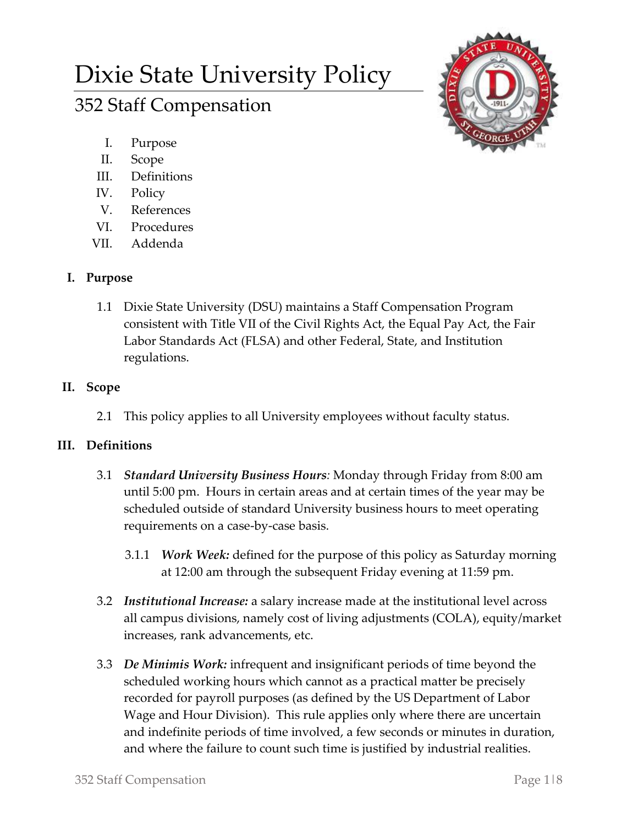# Dixie State University Policy

## 352 Staff Compensation



- I. Purpose
- II. Scope
- III. Definitions
- IV. Policy
- V. References
- VI. Procedures
- VII. Addenda

## **I. Purpose**

1.1 Dixie State University (DSU) maintains a Staff Compensation Program consistent with Title VII of the Civil Rights Act, the Equal Pay Act, the Fair Labor Standards Act (FLSA) and other Federal, State, and Institution regulations.

## **II. Scope**

2.1 This policy applies to all University employees without faculty status.

## **III. Definitions**

- 3.1 *Standard University Business Hours:* Monday through Friday from 8:00 am until 5:00 pm. Hours in certain areas and at certain times of the year may be scheduled outside of standard University business hours to meet operating requirements on a case-by-case basis.
	- 3.1.1 *Work Week:* defined for the purpose of this policy as Saturday morning at 12:00 am through the subsequent Friday evening at 11:59 pm.
- 3.2 *Institutional Increase:* a salary increase made at the institutional level across all campus divisions, namely cost of living adjustments (COLA), equity/market increases, rank advancements, etc.
- 3.3 *De Minimis Work:* infrequent and insignificant periods of time beyond the scheduled working hours which cannot as a practical matter be precisely recorded for payroll purposes (as defined by the US Department of Labor Wage and Hour Division). This rule applies only where there are uncertain and indefinite periods of time involved, a few seconds or minutes in duration, and where the failure to count such time is justified by industrial realities.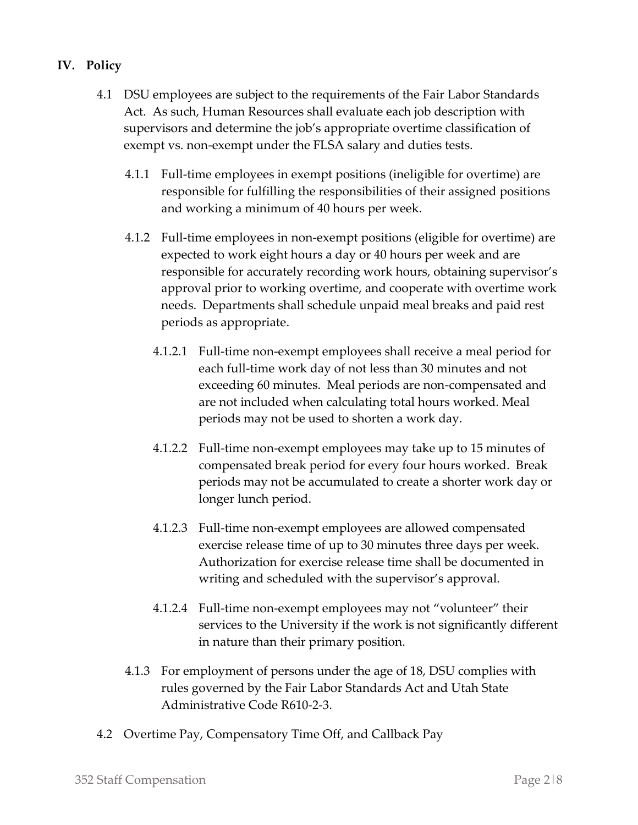### **IV. Policy**

- 4.1 DSU employees are subject to the requirements of the Fair Labor Standards Act. As such, Human Resources shall evaluate each job description with supervisors and determine the job's appropriate overtime classification of exempt vs. non-exempt under the FLSA salary and duties tests.
	- 4.1.1 Full-time employees in exempt positions (ineligible for overtime) are responsible for fulfilling the responsibilities of their assigned positions and working a minimum of 40 hours per week.
	- 4.1.2 Full-time employees in non-exempt positions (eligible for overtime) are expected to work eight hours a day or 40 hours per week and are responsible for accurately recording work hours, obtaining supervisor's approval prior to working overtime, and cooperate with overtime work needs. Departments shall schedule unpaid meal breaks and paid rest periods as appropriate.
		- 4.1.2.1 Full-time non-exempt employees shall receive a meal period for each full-time work day of not less than 30 minutes and not exceeding 60 minutes. Meal periods are non-compensated and are not included when calculating total hours worked. Meal periods may not be used to shorten a work day.
		- 4.1.2.2 Full-time non-exempt employees may take up to 15 minutes of compensated break period for every four hours worked. Break periods may not be accumulated to create a shorter work day or longer lunch period.
		- 4.1.2.3 Full-time non-exempt employees are allowed compensated exercise release time of up to 30 minutes three days per week. Authorization for exercise release time shall be documented in writing and scheduled with the supervisor's approval.
		- 4.1.2.4 Full-time non-exempt employees may not "volunteer" their services to the University if the work is not significantly different in nature than their primary position.
	- 4.1.3 For employment of persons under the age of 18, DSU complies with rules governed by the Fair Labor Standards Act and Utah State Administrative Code R610-2-3.
- 4.2 Overtime Pay, Compensatory Time Off, and Callback Pay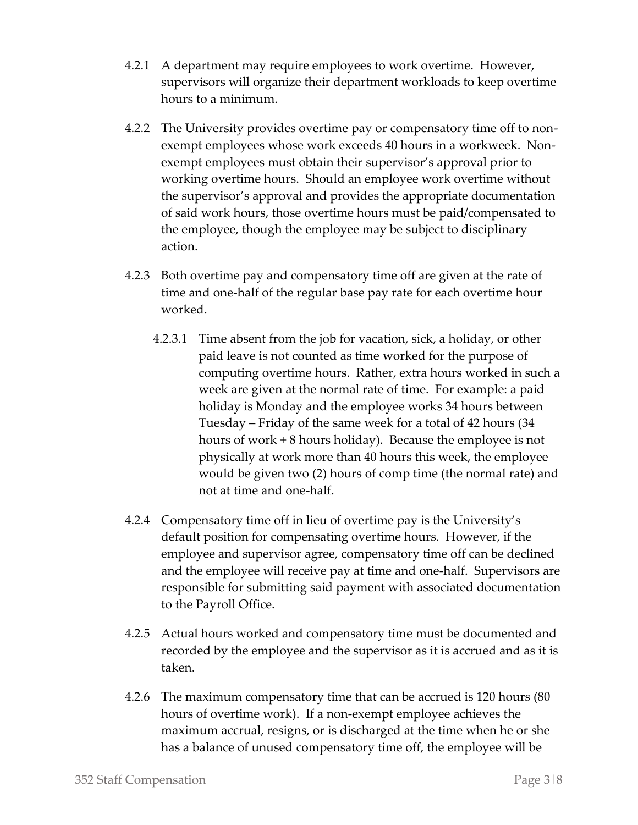- 4.2.1 A department may require employees to work overtime. However, supervisors will organize their department workloads to keep overtime hours to a minimum.
- 4.2.2 The University provides overtime pay or compensatory time off to nonexempt employees whose work exceeds 40 hours in a workweek. Nonexempt employees must obtain their supervisor's approval prior to working overtime hours. Should an employee work overtime without the supervisor's approval and provides the appropriate documentation of said work hours, those overtime hours must be paid/compensated to the employee, though the employee may be subject to disciplinary action.
- 4.2.3 Both overtime pay and compensatory time off are given at the rate of time and one-half of the regular base pay rate for each overtime hour worked.
	- 4.2.3.1 Time absent from the job for vacation, sick, a holiday, or other paid leave is not counted as time worked for the purpose of computing overtime hours. Rather, extra hours worked in such a week are given at the normal rate of time. For example: a paid holiday is Monday and the employee works 34 hours between Tuesday – Friday of the same week for a total of 42 hours (34 hours of work + 8 hours holiday). Because the employee is not physically at work more than 40 hours this week, the employee would be given two (2) hours of comp time (the normal rate) and not at time and one-half.
- 4.2.4 Compensatory time off in lieu of overtime pay is the University's default position for compensating overtime hours. However, if the employee and supervisor agree, compensatory time off can be declined and the employee will receive pay at time and one-half. Supervisors are responsible for submitting said payment with associated documentation to the Payroll Office.
- 4.2.5 Actual hours worked and compensatory time must be documented and recorded by the employee and the supervisor as it is accrued and as it is taken.
- 4.2.6 The maximum compensatory time that can be accrued is 120 hours (80 hours of overtime work). If a non-exempt employee achieves the maximum accrual, resigns, or is discharged at the time when he or she has a balance of unused compensatory time off, the employee will be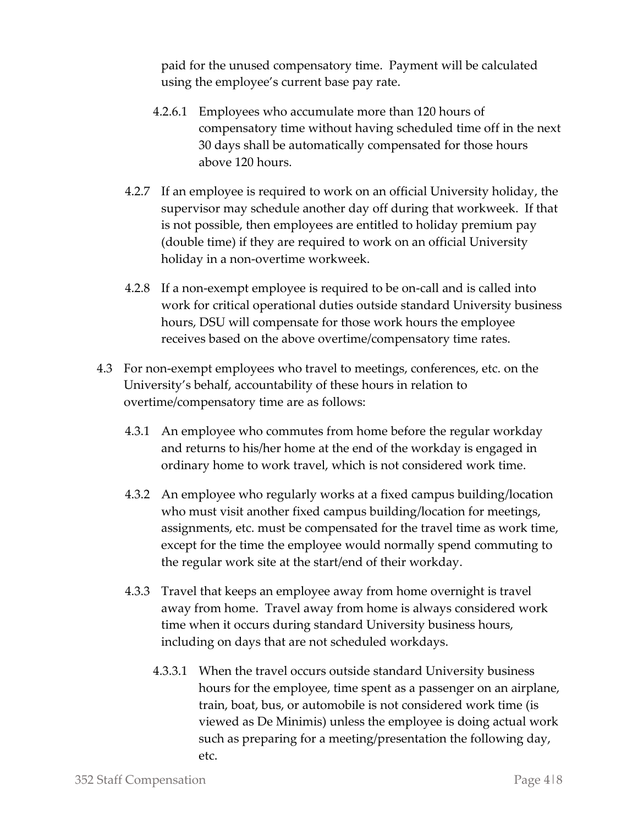paid for the unused compensatory time. Payment will be calculated using the employee's current base pay rate.

- 4.2.6.1 Employees who accumulate more than 120 hours of compensatory time without having scheduled time off in the next 30 days shall be automatically compensated for those hours above 120 hours.
- 4.2.7 If an employee is required to work on an official University holiday, the supervisor may schedule another day off during that workweek. If that is not possible, then employees are entitled to holiday premium pay (double time) if they are required to work on an official University holiday in a non-overtime workweek.
- 4.2.8 If a non-exempt employee is required to be on-call and is called into work for critical operational duties outside standard University business hours, DSU will compensate for those work hours the employee receives based on the above overtime/compensatory time rates.
- 4.3 For non-exempt employees who travel to meetings, conferences, etc. on the University's behalf, accountability of these hours in relation to overtime/compensatory time are as follows:
	- 4.3.1 An employee who commutes from home before the regular workday and returns to his/her home at the end of the workday is engaged in ordinary home to work travel, which is not considered work time.
	- 4.3.2 An employee who regularly works at a fixed campus building/location who must visit another fixed campus building/location for meetings, assignments, etc. must be compensated for the travel time as work time, except for the time the employee would normally spend commuting to the regular work site at the start/end of their workday.
	- 4.3.3 Travel that keeps an employee away from home overnight is travel away from home. Travel away from home is always considered work time when it occurs during standard University business hours, including on days that are not scheduled workdays.
		- 4.3.3.1 When the travel occurs outside standard University business hours for the employee, time spent as a passenger on an airplane, train, boat, bus, or automobile is not considered work time (is viewed as De Minimis) unless the employee is doing actual work such as preparing for a meeting/presentation the following day, etc.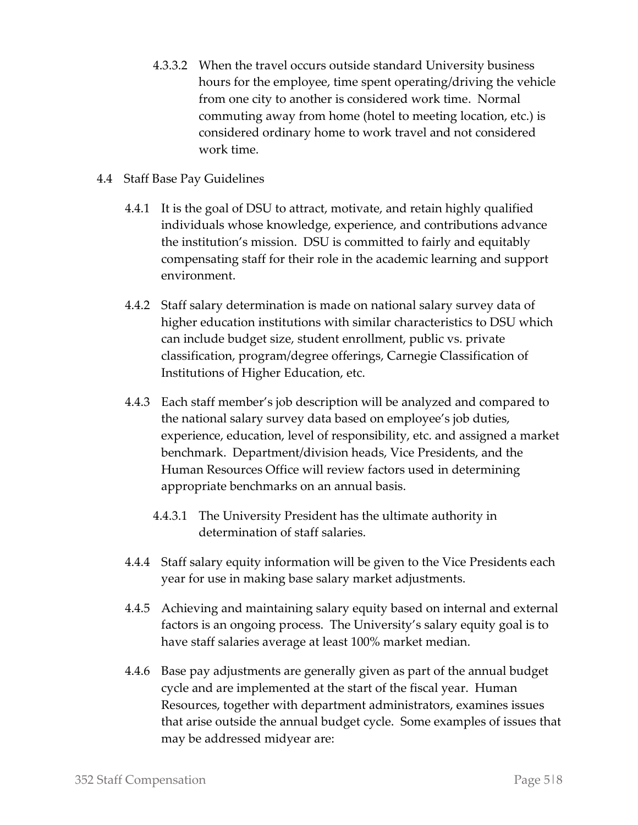- 4.3.3.2 When the travel occurs outside standard University business hours for the employee, time spent operating/driving the vehicle from one city to another is considered work time. Normal commuting away from home (hotel to meeting location, etc.) is considered ordinary home to work travel and not considered work time.
- 4.4 Staff Base Pay Guidelines
	- 4.4.1 It is the goal of DSU to attract, motivate, and retain highly qualified individuals whose knowledge, experience, and contributions advance the institution's mission. DSU is committed to fairly and equitably compensating staff for their role in the academic learning and support environment.
	- 4.4.2 Staff salary determination is made on national salary survey data of higher education institutions with similar characteristics to DSU which can include budget size, student enrollment, public vs. private classification, program/degree offerings, Carnegie Classification of Institutions of Higher Education, etc.
	- 4.4.3 Each staff member's job description will be analyzed and compared to the national salary survey data based on employee's job duties, experience, education, level of responsibility, etc. and assigned a market benchmark. Department/division heads, Vice Presidents, and the Human Resources Office will review factors used in determining appropriate benchmarks on an annual basis.
		- 4.4.3.1 The University President has the ultimate authority in determination of staff salaries.
	- 4.4.4 Staff salary equity information will be given to the Vice Presidents each year for use in making base salary market adjustments.
	- 4.4.5 Achieving and maintaining salary equity based on internal and external factors is an ongoing process. The University's salary equity goal is to have staff salaries average at least 100% market median.
	- 4.4.6 Base pay adjustments are generally given as part of the annual budget cycle and are implemented at the start of the fiscal year. Human Resources, together with department administrators, examines issues that arise outside the annual budget cycle. Some examples of issues that may be addressed midyear are: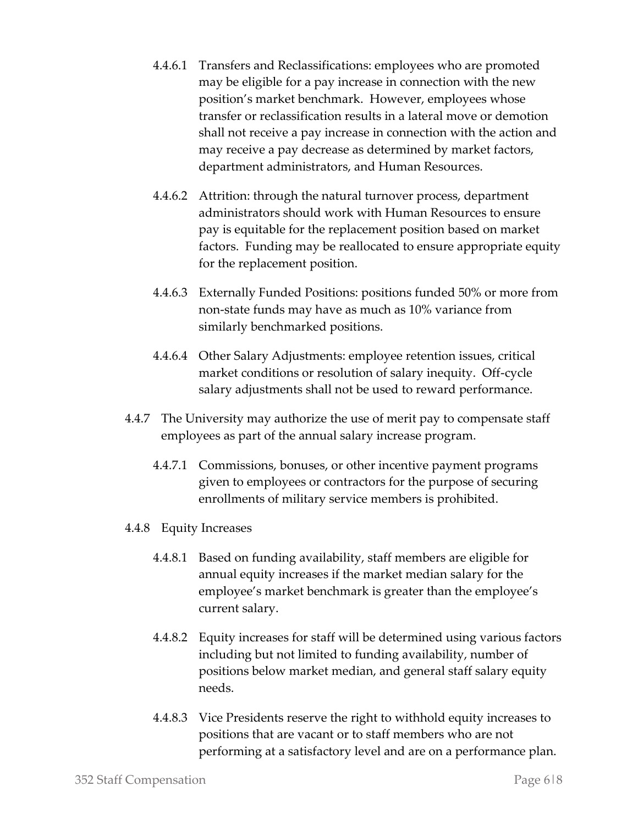- 4.4.6.1 Transfers and Reclassifications: employees who are promoted may be eligible for a pay increase in connection with the new position's market benchmark. However, employees whose transfer or reclassification results in a lateral move or demotion shall not receive a pay increase in connection with the action and may receive a pay decrease as determined by market factors, department administrators, and Human Resources.
- 4.4.6.2 Attrition: through the natural turnover process, department administrators should work with Human Resources to ensure pay is equitable for the replacement position based on market factors. Funding may be reallocated to ensure appropriate equity for the replacement position.
- 4.4.6.3 Externally Funded Positions: positions funded 50% or more from non-state funds may have as much as 10% variance from similarly benchmarked positions.
- 4.4.6.4 Other Salary Adjustments: employee retention issues, critical market conditions or resolution of salary inequity. Off-cycle salary adjustments shall not be used to reward performance.
- 4.4.7 The University may authorize the use of merit pay to compensate staff employees as part of the annual salary increase program.
	- 4.4.7.1 Commissions, bonuses, or other incentive payment programs given to employees or contractors for the purpose of securing enrollments of military service members is prohibited.
- 4.4.8 Equity Increases
	- 4.4.8.1 Based on funding availability, staff members are eligible for annual equity increases if the market median salary for the employee's market benchmark is greater than the employee's current salary.
	- 4.4.8.2 Equity increases for staff will be determined using various factors including but not limited to funding availability, number of positions below market median, and general staff salary equity needs.
	- 4.4.8.3 Vice Presidents reserve the right to withhold equity increases to positions that are vacant or to staff members who are not performing at a satisfactory level and are on a performance plan.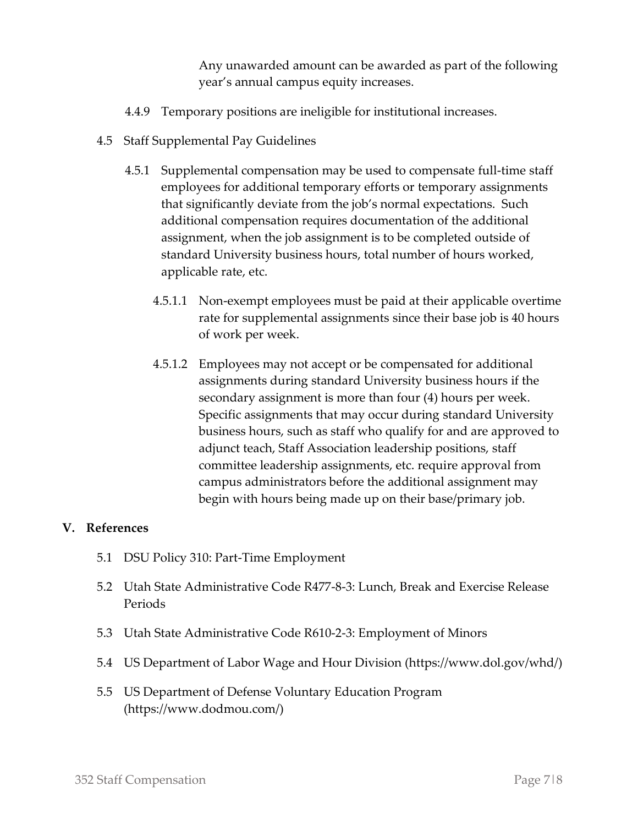Any unawarded amount can be awarded as part of the following year's annual campus equity increases.

- 4.4.9 Temporary positions are ineligible for institutional increases.
- 4.5 Staff Supplemental Pay Guidelines
	- 4.5.1 Supplemental compensation may be used to compensate full-time staff employees for additional temporary efforts or temporary assignments that significantly deviate from the job's normal expectations. Such additional compensation requires documentation of the additional assignment, when the job assignment is to be completed outside of standard University business hours, total number of hours worked, applicable rate, etc.
		- 4.5.1.1 Non-exempt employees must be paid at their applicable overtime rate for supplemental assignments since their base job is 40 hours of work per week.
		- 4.5.1.2 Employees may not accept or be compensated for additional assignments during standard University business hours if the secondary assignment is more than four (4) hours per week. Specific assignments that may occur during standard University business hours, such as staff who qualify for and are approved to adjunct teach, Staff Association leadership positions, staff committee leadership assignments, etc. require approval from campus administrators before the additional assignment may begin with hours being made up on their base/primary job.

#### **V. References**

- 5.1 DSU Policy 310: Part-Time Employment
- 5.2 Utah State Administrative Code R477-8-3: Lunch, Break and Exercise Release Periods
- 5.3 Utah State Administrative Code R610-2-3: Employment of Minors
- 5.4 US Department of Labor Wage and Hour Division (https://www.dol.gov/whd/)
- 5.5 US Department of Defense Voluntary Education Program (https://www.dodmou.com/)